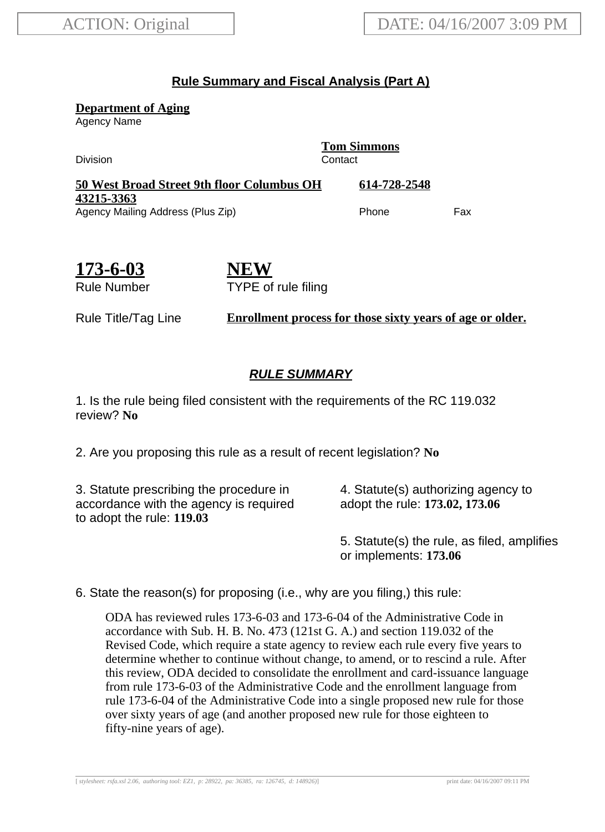## **Rule Summary and Fiscal Analysis (Part A)**

**Department of Aging**

Agency Name

**Tom Simmons** Division Contact **50 West Broad Street 9th floor Columbus OH 43215-3363 614-728-2548** Agency Mailing Address (Plus Zip) example and the Phone Fax

**173-6-03** Rule Number **NEW** TYPE of rule filing

Rule Title/Tag Line **Enrollment process for those sixty years of age or older.**

## **RULE SUMMARY**

1. Is the rule being filed consistent with the requirements of the RC 119.032 review? **No**

2. Are you proposing this rule as a result of recent legislation? **No**

3. Statute prescribing the procedure in accordance with the agency is required to adopt the rule: **119.03**

4. Statute(s) authorizing agency to adopt the rule: **173.02, 173.06**

5. Statute(s) the rule, as filed, amplifies or implements: **173.06**

6. State the reason(s) for proposing (i.e., why are you filing,) this rule:

ODA has reviewed rules 173-6-03 and 173-6-04 of the Administrative Code in accordance with Sub. H. B. No. 473 (121st G. A.) and section 119.032 of the Revised Code, which require a state agency to review each rule every five years to determine whether to continue without change, to amend, or to rescind a rule. After this review, ODA decided to consolidate the enrollment and card-issuance language from rule 173-6-03 of the Administrative Code and the enrollment language from rule 173-6-04 of the Administrative Code into a single proposed new rule for those over sixty years of age (and another proposed new rule for those eighteen to fifty-nine years of age).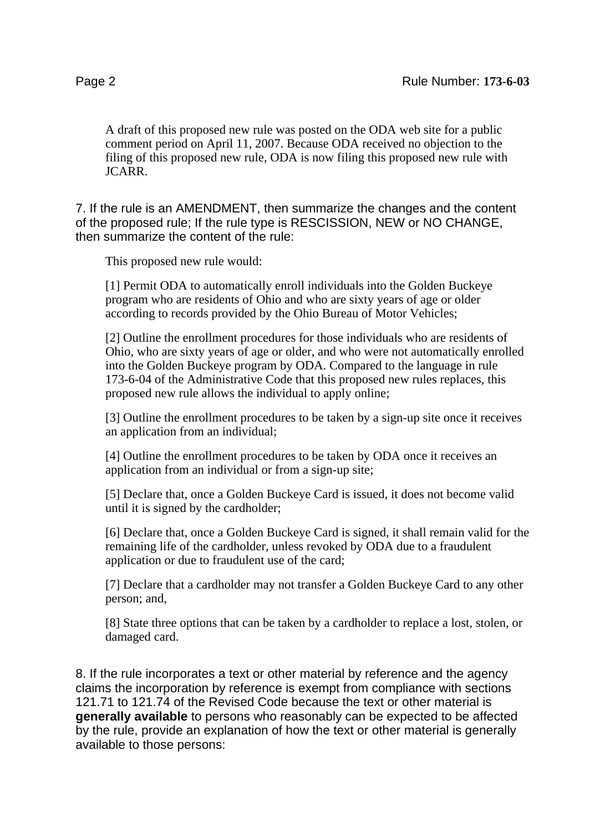A draft of this proposed new rule was posted on the ODA web site for a public comment period on April 11, 2007. Because ODA received no objection to the filing of this proposed new rule, ODA is now filing this proposed new rule with JCARR.

7. If the rule is an AMENDMENT, then summarize the changes and the content of the proposed rule; If the rule type is RESCISSION, NEW or NO CHANGE, then summarize the content of the rule:

This proposed new rule would:

[1] Permit ODA to automatically enroll individuals into the Golden Buckeye program who are residents of Ohio and who are sixty years of age or older according to records provided by the Ohio Bureau of Motor Vehicles;

[2] Outline the enrollment procedures for those individuals who are residents of Ohio, who are sixty years of age or older, and who were not automatically enrolled into the Golden Buckeye program by ODA. Compared to the language in rule 173-6-04 of the Administrative Code that this proposed new rules replaces, this proposed new rule allows the individual to apply online;

[3] Outline the enrollment procedures to be taken by a sign-up site once it receives an application from an individual;

[4] Outline the enrollment procedures to be taken by ODA once it receives an application from an individual or from a sign-up site;

[5] Declare that, once a Golden Buckeye Card is issued, it does not become valid until it is signed by the cardholder;

[6] Declare that, once a Golden Buckeye Card is signed, it shall remain valid for the remaining life of the cardholder, unless revoked by ODA due to a fraudulent application or due to fraudulent use of the card;

[7] Declare that a cardholder may not transfer a Golden Buckeye Card to any other person; and,

[8] State three options that can be taken by a cardholder to replace a lost, stolen, or damaged card.

8. If the rule incorporates a text or other material by reference and the agency claims the incorporation by reference is exempt from compliance with sections 121.71 to 121.74 of the Revised Code because the text or other material is **generally available** to persons who reasonably can be expected to be affected by the rule, provide an explanation of how the text or other material is generally available to those persons: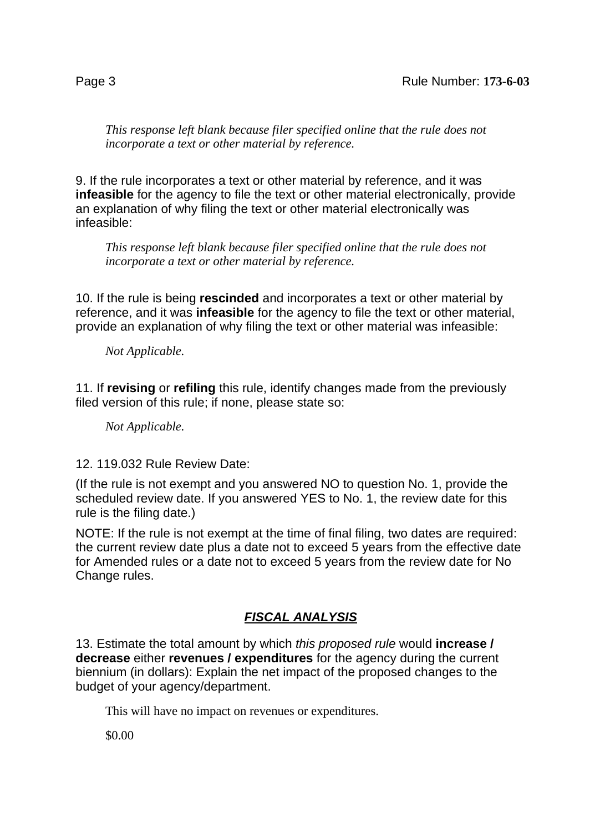*This response left blank because filer specified online that the rule does not incorporate a text or other material by reference.*

9. If the rule incorporates a text or other material by reference, and it was **infeasible** for the agency to file the text or other material electronically, provide an explanation of why filing the text or other material electronically was infeasible:

*This response left blank because filer specified online that the rule does not incorporate a text or other material by reference.*

10. If the rule is being **rescinded** and incorporates a text or other material by reference, and it was **infeasible** for the agency to file the text or other material, provide an explanation of why filing the text or other material was infeasible:

*Not Applicable.*

11. If **revising** or **refiling** this rule, identify changes made from the previously filed version of this rule; if none, please state so:

*Not Applicable.*

12. 119.032 Rule Review Date:

(If the rule is not exempt and you answered NO to question No. 1, provide the scheduled review date. If you answered YES to No. 1, the review date for this rule is the filing date.)

NOTE: If the rule is not exempt at the time of final filing, two dates are required: the current review date plus a date not to exceed 5 years from the effective date for Amended rules or a date not to exceed 5 years from the review date for No Change rules.

## **FISCAL ANALYSIS**

13. Estimate the total amount by which this proposed rule would **increase / decrease** either **revenues / expenditures** for the agency during the current biennium (in dollars): Explain the net impact of the proposed changes to the budget of your agency/department.

This will have no impact on revenues or expenditures.

\$0.00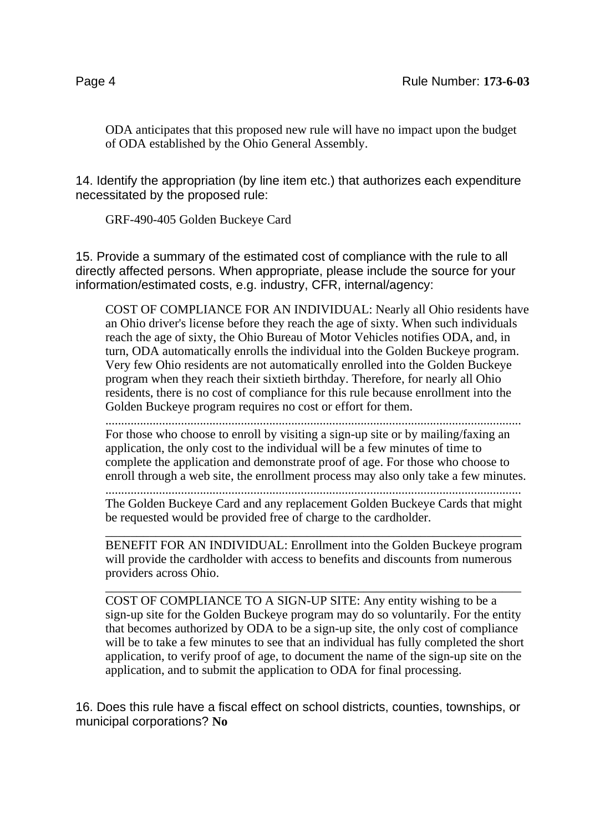ODA anticipates that this proposed new rule will have no impact upon the budget of ODA established by the Ohio General Assembly.

14. Identify the appropriation (by line item etc.) that authorizes each expenditure necessitated by the proposed rule:

GRF-490-405 Golden Buckeye Card

15. Provide a summary of the estimated cost of compliance with the rule to all directly affected persons. When appropriate, please include the source for your information/estimated costs, e.g. industry, CFR, internal/agency:

COST OF COMPLIANCE FOR AN INDIVIDUAL: Nearly all Ohio residents have an Ohio driver's license before they reach the age of sixty. When such individuals reach the age of sixty, the Ohio Bureau of Motor Vehicles notifies ODA, and, in turn, ODA automatically enrolls the individual into the Golden Buckeye program. Very few Ohio residents are not automatically enrolled into the Golden Buckeye program when they reach their sixtieth birthday. Therefore, for nearly all Ohio residents, there is no cost of compliance for this rule because enrollment into the Golden Buckeye program requires no cost or effort for them.

.................................................................................................................................... For those who choose to enroll by visiting a sign-up site or by mailing/faxing an application, the only cost to the individual will be a few minutes of time to complete the application and demonstrate proof of age. For those who choose to enroll through a web site, the enrollment process may also only take a few minutes.

.................................................................................................................................... The Golden Buckeye Card and any replacement Golden Buckeye Cards that might be requested would be provided free of charge to the cardholder.

\_\_\_\_\_\_\_\_\_\_\_\_\_\_\_\_\_\_\_\_\_\_\_\_\_\_\_\_\_\_\_\_\_\_\_\_\_\_\_\_\_\_\_\_\_\_\_\_\_\_\_\_\_\_\_\_\_\_\_\_\_\_\_\_\_\_ BENEFIT FOR AN INDIVIDUAL: Enrollment into the Golden Buckeye program will provide the cardholder with access to benefits and discounts from numerous providers across Ohio.

\_\_\_\_\_\_\_\_\_\_\_\_\_\_\_\_\_\_\_\_\_\_\_\_\_\_\_\_\_\_\_\_\_\_\_\_\_\_\_\_\_\_\_\_\_\_\_\_\_\_\_\_\_\_\_\_\_\_\_\_\_\_\_\_\_\_ COST OF COMPLIANCE TO A SIGN-UP SITE: Any entity wishing to be a sign-up site for the Golden Buckeye program may do so voluntarily. For the entity that becomes authorized by ODA to be a sign-up site, the only cost of compliance will be to take a few minutes to see that an individual has fully completed the short application, to verify proof of age, to document the name of the sign-up site on the application, and to submit the application to ODA for final processing.

16. Does this rule have a fiscal effect on school districts, counties, townships, or municipal corporations? **No**